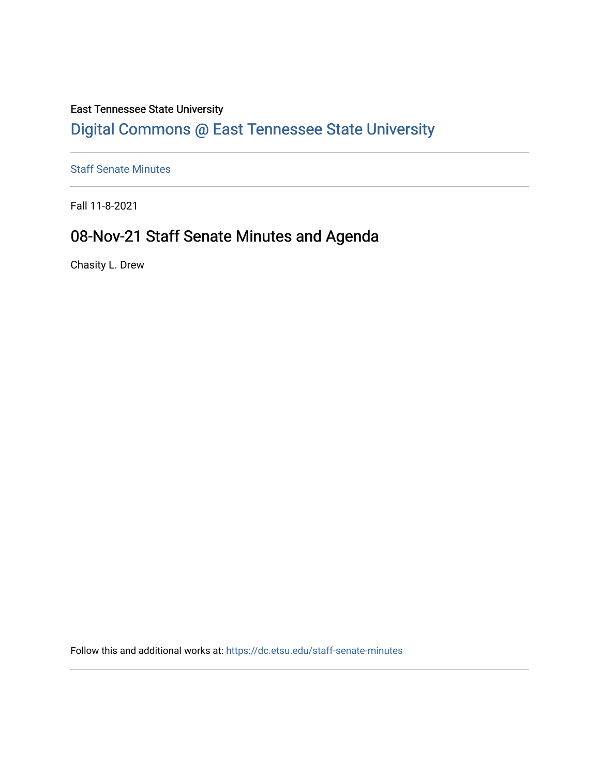#### East Tennessee State University

## [Digital Commons @ East Tennessee State University](https://dc.etsu.edu/)

[Staff Senate Minutes](https://dc.etsu.edu/staff-senate-minutes) 

Fall 11-8-2021

## 08-Nov-21 Staff Senate Minutes and Agenda

Chasity L. Drew

Follow this and additional works at: [https://dc.etsu.edu/staff-senate-minutes](https://dc.etsu.edu/staff-senate-minutes?utm_source=dc.etsu.edu%2Fstaff-senate-minutes%2F9&utm_medium=PDF&utm_campaign=PDFCoverPages)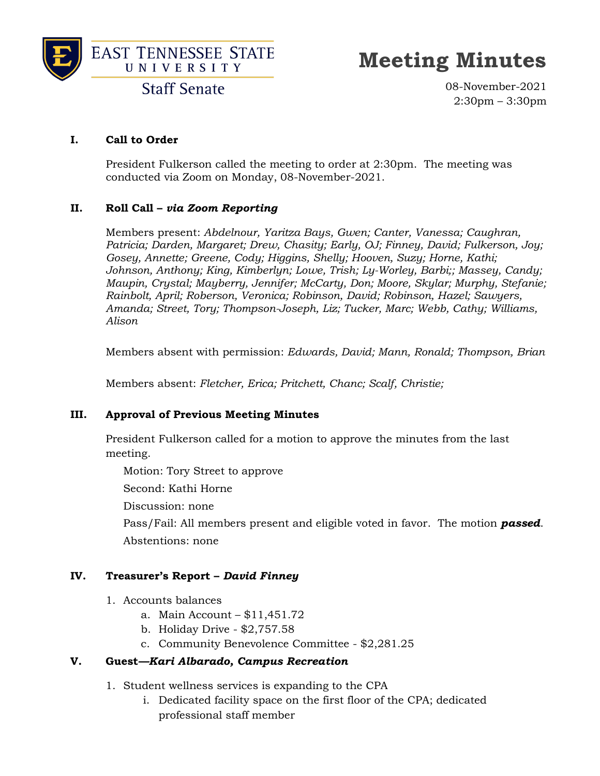



## **Meeting Minutes**

**Staff Senate** 

08-November-2021 2:30pm – 3:30pm

#### **I. Call to Order**

President Fulkerson called the meeting to order at 2:30pm. The meeting was conducted via Zoom on Monday, 08-November-2021.

#### **II. Roll Call –** *via Zoom Reporting*

Members present: *Abdelnour, Yaritza Bays, Gwen; Canter, Vanessa; Caughran, Patricia; Darden, Margaret; Drew, Chasity; Early, OJ; Finney, David; Fulkerson, Joy; Gosey, Annette; Greene, Cody; Higgins, Shelly; Hooven, Suzy; Horne, Kathi; Johnson, Anthony; King, Kimberlyn; Lowe, Trish; Ly-Worley, Barbi;; Massey, Candy; Maupin, Crystal; Mayberry, Jennifer; McCarty, Don; Moore, Skylar; Murphy, Stefanie; Rainbolt, April; Roberson, Veronica; Robinson, David; Robinson, Hazel; Sawyers, Amanda; Street, Tory; Thompson-Joseph, Liz; Tucker, Marc; Webb, Cathy; Williams, Alison*

Members absent with permission: *Edwards, David; Mann, Ronald; Thompson, Brian*

Members absent: *Fletcher, Erica; Pritchett, Chanc; Scalf, Christie;* 

#### **III. Approval of Previous Meeting Minutes**

President Fulkerson called for a motion to approve the minutes from the last meeting.

Motion: Tory Street to approve

Second: Kathi Horne

Discussion: none

Pass/Fail: All members present and eligible voted in favor. The motion *passed*. Abstentions: none

#### **IV. Treasurer's Report –** *David Finney*

- 1. Accounts balances
	- a. Main Account \$11,451.72
	- b. Holiday Drive \$2,757.58
	- c. Community Benevolence Committee \$2,281.25

#### **V. Guest***—Kari Albarado, Campus Recreation*

- 1. Student wellness services is expanding to the CPA
	- i. Dedicated facility space on the first floor of the CPA; dedicated professional staff member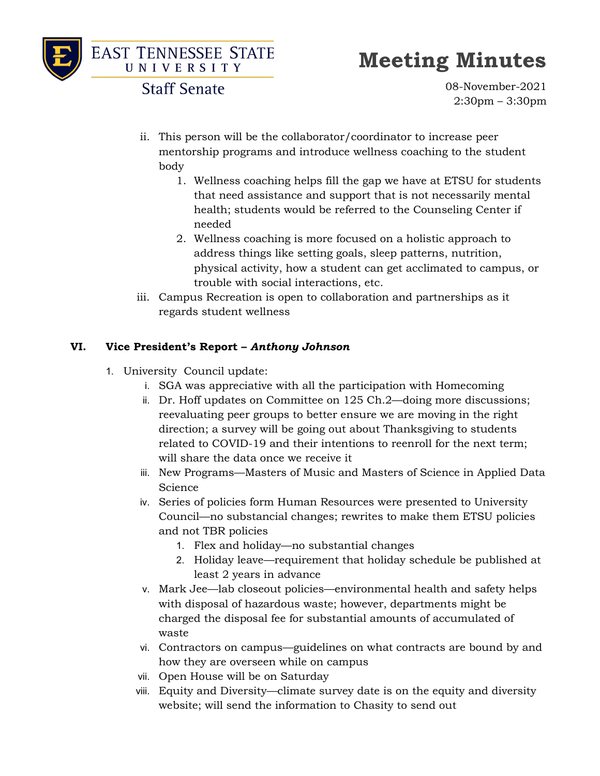

# **Meeting Minutes**

**Staff Senate** 

08-November-2021 2:30pm – 3:30pm

- ii. This person will be the collaborator/coordinator to increase peer mentorship programs and introduce wellness coaching to the student body
	- 1. Wellness coaching helps fill the gap we have at ETSU for students that need assistance and support that is not necessarily mental health; students would be referred to the Counseling Center if needed
	- 2. Wellness coaching is more focused on a holistic approach to address things like setting goals, sleep patterns, nutrition, physical activity, how a student can get acclimated to campus, or trouble with social interactions, etc.
- iii. Campus Recreation is open to collaboration and partnerships as it regards student wellness

#### **VI. Vice President's Report –** *Anthony Johnson*

- 1. University Council update:
	- i. SGA was appreciative with all the participation with Homecoming
	- ii. Dr. Hoff updates on Committee on 125 Ch.2—doing more discussions; reevaluating peer groups to better ensure we are moving in the right direction; a survey will be going out about Thanksgiving to students related to COVID-19 and their intentions to reenroll for the next term; will share the data once we receive it
	- iii. New Programs—Masters of Music and Masters of Science in Applied Data Science
	- iv. Series of policies form Human Resources were presented to University Council—no substancial changes; rewrites to make them ETSU policies and not TBR policies
		- 1. Flex and holiday—no substantial changes
		- 2. Holiday leave—requirement that holiday schedule be published at least 2 years in advance
	- v. Mark Jee—lab closeout policies—environmental health and safety helps with disposal of hazardous waste; however, departments might be charged the disposal fee for substantial amounts of accumulated of waste
	- vi. Contractors on campus—guidelines on what contracts are bound by and how they are overseen while on campus
	- vii. Open House will be on Saturday
	- viii. Equity and Diversity—climate survey date is on the equity and diversity website; will send the information to Chasity to send out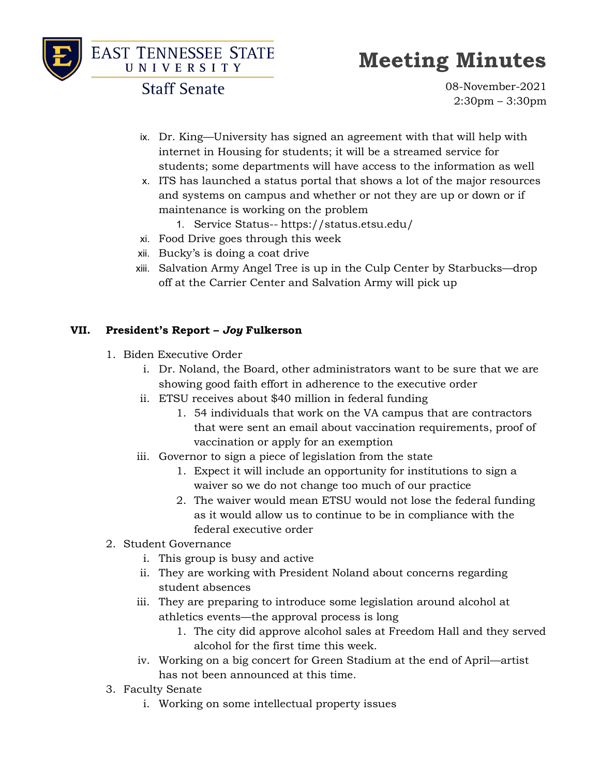



# **Meeting Minutes**

**Staff Senate** 

08-November-2021 2:30pm – 3:30pm

- ix. Dr. King—University has signed an agreement with that will help with internet in Housing for students; it will be a streamed service for students; some departments will have access to the information as well
- x. ITS has launched a status portal that shows a lot of the major resources and systems on campus and whether or not they are up or down or if maintenance is working on the problem
	- 1. Service Status-- https://status.etsu.edu/
- xi. Food Drive goes through this week
- xii. Bucky's is doing a coat drive
- xiii. Salvation Army Angel Tree is up in the Culp Center by Starbucks—drop off at the Carrier Center and Salvation Army will pick up

#### **VII. President's Report –** *Joy* **Fulkerson**

- 1. Biden Executive Order
	- i. Dr. Noland, the Board, other administrators want to be sure that we are showing good faith effort in adherence to the executive order
	- ii. ETSU receives about \$40 million in federal funding
		- 1. 54 individuals that work on the VA campus that are contractors that were sent an email about vaccination requirements, proof of vaccination or apply for an exemption
	- iii. Governor to sign a piece of legislation from the state
		- 1. Expect it will include an opportunity for institutions to sign a waiver so we do not change too much of our practice
		- 2. The waiver would mean ETSU would not lose the federal funding as it would allow us to continue to be in compliance with the federal executive order
- 2. Student Governance
	- i. This group is busy and active
	- ii. They are working with President Noland about concerns regarding student absences
	- iii. They are preparing to introduce some legislation around alcohol at athletics events—the approval process is long
		- 1. The city did approve alcohol sales at Freedom Hall and they served alcohol for the first time this week.
	- iv. Working on a big concert for Green Stadium at the end of April—artist has not been announced at this time.
- 3. Faculty Senate
	- i. Working on some intellectual property issues